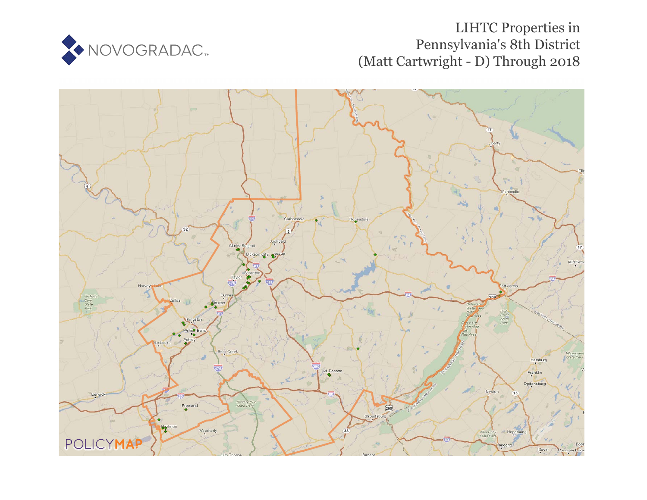

## LIHTC Properties in Pennsylvania's 8th District (Matt Cartwright - D) Through 2018

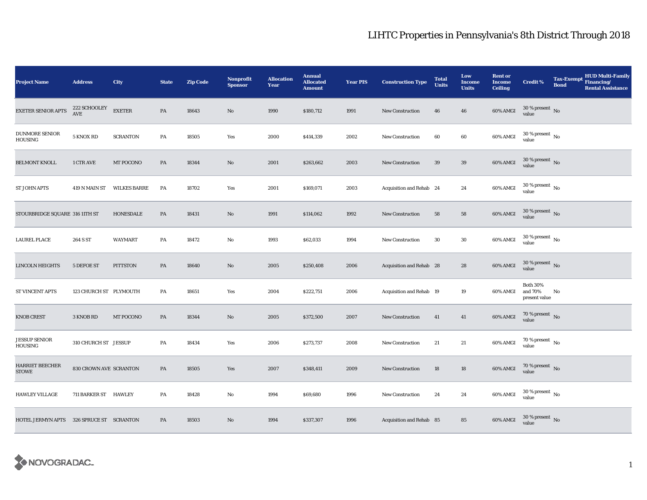## LIHTC Properties in Pennsylvania's 8th District Through 2018

| <b>Project Name</b>                      | <b>Address</b>                                            | City                | <b>State</b> | <b>Zip Code</b> | <b>Nonprofit</b><br><b>Sponsor</b> | <b>Allocation</b><br>Year | <b>Annual</b><br><b>Allocated</b><br><b>Amount</b> | <b>Year PIS</b> | <b>Construction Type</b> | <b>Total</b><br><b>Units</b> | Low<br><b>Income</b><br><b>Units</b> | <b>Rent or</b><br><b>Income</b><br><b>Ceiling</b> | <b>Credit %</b>                             | <b>Tax-Exempt</b><br><b>Bond</b> | <b>HUD Multi-Family</b><br>Financing/<br><b>Rental Assistance</b> |
|------------------------------------------|-----------------------------------------------------------|---------------------|--------------|-----------------|------------------------------------|---------------------------|----------------------------------------------------|-----------------|--------------------------|------------------------------|--------------------------------------|---------------------------------------------------|---------------------------------------------|----------------------------------|-------------------------------------------------------------------|
| <b>EXETER SENIOR APTS</b>                | $222\:\mathrm{SCHOOLEY}$<br>$\operatorname{\mathbf{AVE}}$ | <b>EXETER</b>       | PA           | 18643           | No                                 | 1990                      | \$180,712                                          | 1991            | <b>New Construction</b>  | 46                           | 46                                   | 60% AMGI                                          | $30\,\%$ present $\,$ No value              |                                  |                                                                   |
| <b>DUNMORE SENIOR</b><br>HOUSING         | 5 KNOX RD                                                 | <b>SCRANTON</b>     | PA           | 18505           | Yes                                | 2000                      | \$414,339                                          | 2002            | <b>New Construction</b>  | 60                           | 60                                   | 60% AMGI                                          | $30\,\%$ present $\,$ No $\,$<br>value      |                                  |                                                                   |
| <b>BELMONT KNOLL</b>                     | 1 CTR AVE                                                 | MT POCONO           | PA           | 18344           | No                                 | 2001                      | \$263,662                                          | 2003            | <b>New Construction</b>  | 39                           | $39\,$                               | 60% AMGI                                          | $30$ % present $\,$ No value                |                                  |                                                                   |
| <b>ST JOHN APTS</b>                      | 419 N MAIN ST                                             | <b>WILKES BARRE</b> | PA           | 18702           | Yes                                | 2001                      | \$169,071                                          | 2003            | Acquisition and Rehab 24 |                              | 24                                   | 60% AMGI                                          | $30$ % present $\,$ No $\,$<br>value        |                                  |                                                                   |
| STOURBRIDGE SQUARE 316 11TH ST           |                                                           | HONESDALE           | PA           | 18431           | No                                 | 1991                      | \$114,062                                          | 1992            | <b>New Construction</b>  | 58                           | 58                                   | 60% AMGI                                          | $30$ % present $\,$ No $\,$<br>value        |                                  |                                                                   |
| <b>LAUREL PLACE</b>                      | 264 S ST                                                  | <b>WAYMART</b>      | PA           | 18472           | $\rm No$                           | 1993                      | \$62,033                                           | 1994            | <b>New Construction</b>  | 30                           | $30\,$                               | 60% AMGI                                          | $30$ % present $\,$ No value                |                                  |                                                                   |
| LINCOLN HEIGHTS                          | 5 DEFOE ST                                                | <b>PITTSTON</b>     | PA           | 18640           | No                                 | 2005                      | \$250,408                                          | 2006            | Acquisition and Rehab 28 |                              | 28                                   | 60% AMGI                                          | $30$ % present $\,$ No value                |                                  |                                                                   |
| <b>ST VINCENT APTS</b>                   | 123 CHURCH ST PLYMOUTH                                    |                     | PA           | 18651           | Yes                                | 2004                      | \$222,751                                          | 2006            | Acquisition and Rehab 19 |                              | 19                                   | 60% AMGI                                          | <b>Both 30%</b><br>and 70%<br>present value | No                               |                                                                   |
| <b>KNOB CREST</b>                        | 3 KNOB RD                                                 | MT POCONO           | PA           | 18344           | No                                 | 2005                      | \$372,500                                          | 2007            | <b>New Construction</b>  | 41                           | 41                                   | 60% AMGI                                          | $70$ % present $\,$ No $\,$<br>value        |                                  |                                                                   |
| <b>JESSUP SENIOR</b><br>HOUSING          | 310 CHURCH ST JESSUP                                      |                     | PA           | 18434           | Yes                                | 2006                      | \$273,737                                          | 2008            | <b>New Construction</b>  | 21                           | 21                                   | 60% AMGI                                          | 70 % present $\hbox{~No}$<br>value          |                                  |                                                                   |
| <b>HARRIET BEECHER</b><br><b>STOWE</b>   | 830 CROWN AVE SCRANTON                                    |                     | PA           | 18505           | Yes                                | 2007                      | \$348,411                                          | 2009            | <b>New Construction</b>  | 18                           | 18                                   | 60% AMGI                                          | 70 % present $\,$ No $\,$<br>value          |                                  |                                                                   |
| <b>HAWLEY VILLAGE</b>                    | 711 BARKER ST HAWLEY                                      |                     | PA           | 18428           | No                                 | 1994                      | \$69,680                                           | 1996            | <b>New Construction</b>  | 24                           | 24                                   | 60% AMGI                                          | $30\ \%$ present $\hbox{~No}$               |                                  |                                                                   |
| HOTEL JERMYN APTS 326 SPRUCE ST SCRANTON |                                                           |                     | PA           | 18503           | No                                 | 1994                      | \$337,307                                          | 1996            | Acquisition and Rehab 85 |                              | 85                                   | 60% AMGI                                          | $30$ % present $\,$ No value                |                                  |                                                                   |

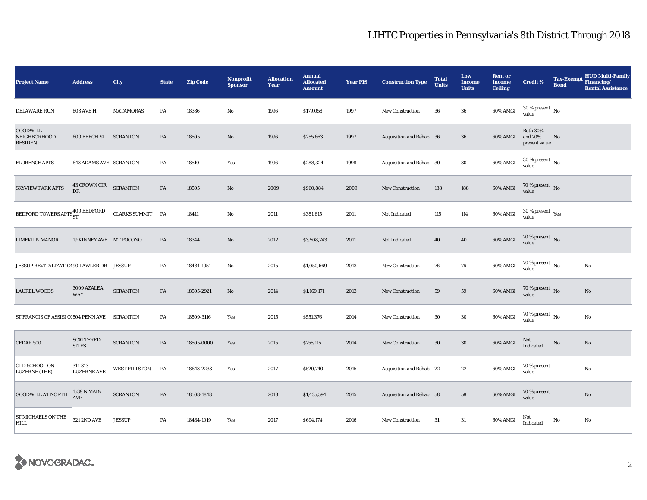## LIHTC Properties in Pennsylvania's 8th District Through 2018

| <b>Project Name</b>                               | <b>Address</b>                   | City                 | <b>State</b>  | <b>Zip Code</b> | <b>Nonprofit</b><br><b>Sponsor</b> | <b>Allocation</b><br>Year | <b>Annual</b><br><b>Allocated</b><br><b>Amount</b> | <b>Year PIS</b> | <b>Construction Type</b>        | <b>Total</b><br><b>Units</b> | Low<br><b>Income</b><br><b>Units</b> | <b>Rent or</b><br><b>Income</b><br><b>Ceiling</b> | <b>Credit %</b>                                   | <b>Tax-Exempt</b><br><b>Bond</b> | <b>HUD Multi-Family</b><br>Financing/<br><b>Rental Assistance</b> |
|---------------------------------------------------|----------------------------------|----------------------|---------------|-----------------|------------------------------------|---------------------------|----------------------------------------------------|-----------------|---------------------------------|------------------------------|--------------------------------------|---------------------------------------------------|---------------------------------------------------|----------------------------------|-------------------------------------------------------------------|
| <b>DELAWARE RUN</b>                               | <b>603 AVE H</b>                 | <b>MATAMORAS</b>     | PA            | 18336           | $\mathbf{No}$                      | 1996                      | \$179,058                                          | 1997            | <b>New Construction</b>         | 36                           | ${\bf 36}$                           | 60% AMGI                                          | $30$ % present $\,$ No $\,$<br>value              |                                  |                                                                   |
| <b>GOODWILL</b><br>NEIGHBORHOOD<br><b>RESIDEN</b> | <b>600 BEECH ST SCRANTON</b>     |                      | PA            | 18505           | No                                 | 1996                      | \$255,663                                          | 1997            | Acquisition and Rehab 36        |                              | ${\bf 36}$                           | 60% AMGI                                          | <b>Both 30%</b><br>and 70%<br>present value       | No                               |                                                                   |
| <b>FLORENCE APTS</b>                              | <b>643 ADAMS AVE SCRANTON</b>    |                      | PA            | 18510           | Yes                                | 1996                      | \$288,324                                          | 1998            | Acquisition and Rehab 30        |                              | 30                                   | 60% AMGI                                          | $30\,\%$ present $\,$ No $\,$<br>value            |                                  |                                                                   |
| <b>SKYVIEW PARK APTS</b>                          | 43 CROWN CIR<br>DR               | <b>SCRANTON</b>      | PA            | 18505           | No                                 | 2009                      | \$960,884                                          | 2009            | <b>New Construction</b>         | 188                          | 188                                  | 60% AMGI                                          | 70 % present $\hbox{~No}$<br>value                |                                  |                                                                   |
| BEDFORD TOWERS APTS $^{400}_{\rm ST}$             |                                  | CLARKS SUMMIT PA     |               | 18411           | $\mathbf{No}$                      | 2011                      | \$381,615                                          | 2011            | Not Indicated                   | 115                          | 114                                  | 60% AMGI                                          | $30\,\%$ present $\,$ $\rm Yes$<br>value          |                                  |                                                                   |
| <b>LIMEKILN MANOR</b>                             | 19 KINNEY AVE MT POCONO          |                      | PA            | 18344           | No                                 | 2012                      | \$3,508,743                                        | 2011            | Not Indicated                   | 40                           | 40                                   | 60% AMGI                                          | $70$ % present $$\rm \, No$$ value                |                                  |                                                                   |
|                                                   |                                  |                      | PA            | 18434-1951      | $\mathbf{No}$                      | 2015                      | \$1,050,669                                        | 2013            | <b>New Construction</b>         | 76                           | 76                                   | 60% AMGI                                          | $70$ % present $_{\, \rm No}$<br>value            |                                  | $\rm No$                                                          |
| <b>LAUREL WOODS</b>                               | 3009 AZALEA<br><b>WAY</b>        | <b>SCRANTON</b>      | PA            | 18505-2921      | $\mathbf{No}$                      | 2014                      | \$1,169,171                                        | 2013            | <b>New Construction</b>         | 59                           | ${\bf 59}$                           | 60% AMGI                                          | 70 % present No<br>value                          |                                  | No                                                                |
| ST FRANCIS OF ASSISI C(504 PENN AVE               |                                  | <b>SCRANTON</b>      | PA            | 18509-3116      | Yes                                | 2015                      | \$551,376                                          | 2014            | <b>New Construction</b>         | 30                           | $30\,$                               | 60% AMGI                                          | 70 % present $\hbox{~No}$<br>value                |                                  | $\mathbf{No}$                                                     |
| <b>CEDAR 500</b>                                  | <b>SCATTERED</b><br><b>SITES</b> | <b>SCRANTON</b>      | $\mathbf{PA}$ | 18505-0000      | Yes                                | 2015                      | \$755,115                                          | 2014            | <b>New Construction</b>         | 30                           | 30                                   | 60% AMGI                                          | Not<br>$\label{thm:indicated} \textbf{Indicated}$ | No                               | No                                                                |
| OLD SCHOOL ON<br>LUZERNE (THE)                    | 311-313<br><b>LUZERNE AVE</b>    | <b>WEST PITTSTON</b> | PA            | 18643-2233      | Yes                                | 2017                      | \$520,740                                          | 2015            | Acquisition and Rehab 22        |                              | 22                                   | 60% AMGI                                          | 70 % present<br>value                             |                                  | $\mathbf{No}$                                                     |
| GOODWILL AT NORTH                                 | 1539 N MAIN<br>AVE               | <b>SCRANTON</b>      | PA            | 18508-1848      |                                    | 2018                      | \$1,435,594                                        | 2015            | <b>Acquisition and Rehab 58</b> |                              | 58                                   | 60% AMGI                                          | 70 % present<br>value                             |                                  | $\rm No$                                                          |
| ST MICHAELS ON THE<br><b>HILL</b>                 | <b>321 2ND AVE</b>               | <b>JESSUP</b>        | PA            | 18434-1019      | Yes                                | 2017                      | \$694,174                                          | 2016            | <b>New Construction</b>         | 31                           | $31\,$                               | 60% AMGI                                          | Not<br>Indicated                                  | No                               | $\mathbf{No}$                                                     |

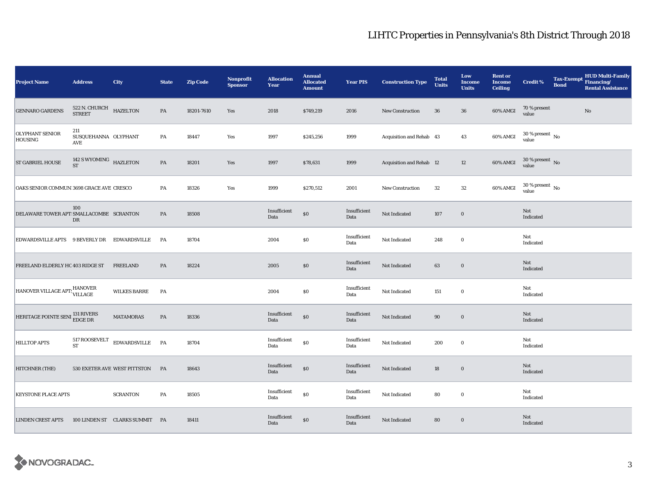## LIHTC Properties in Pennsylvania's 8th District Through 2018

| <b>Project Name</b>                         | <b>Address</b>                          | City                           | <b>State</b> | <b>Zip Code</b> | <b>Nonprofit</b><br><b>Sponsor</b> | <b>Allocation</b><br>Year | <b>Annual</b><br><b>Allocated</b><br><b>Amount</b> | <b>Year PIS</b>      | <b>Construction Type</b> | <b>Total</b><br><b>Units</b> | Low<br>Income<br><b>Units</b> | <b>Rent or</b><br><b>Income</b><br><b>Ceiling</b> | <b>Credit %</b>                        | <b>Tax-Exempt</b><br><b>Bond</b> | HUD Multi-Family<br>Financing/<br><b>Rental Assistance</b> |
|---------------------------------------------|-----------------------------------------|--------------------------------|--------------|-----------------|------------------------------------|---------------------------|----------------------------------------------------|----------------------|--------------------------|------------------------------|-------------------------------|---------------------------------------------------|----------------------------------------|----------------------------------|------------------------------------------------------------|
| <b>GENNARO GARDENS</b>                      | 522 N. CHURCH HAZELTON<br><b>STREET</b> |                                | PA           | 18201-7610      | Yes                                | 2018                      | \$749,219                                          | 2016                 | New Construction         | 36                           | 36                            | 60% AMGI                                          | 70 % present<br>value                  |                                  | No                                                         |
| <b>OLYPHANT SENIOR</b><br><b>HOUSING</b>    | 211<br>SUSQUEHANNA OLYPHANT<br>AVE      |                                | PA           | 18447           | Yes                                | 1997                      | \$245,256                                          | 1999                 | Acquisition and Rehab 43 |                              | 43                            | 60% AMGI                                          | $30\,\%$ present $\,$ No $\,$<br>value |                                  |                                                            |
| <b>ST GABRIEL HOUSE</b>                     | 142 S WYOMING HAZLETON ST               |                                | PA           | 18201           | Yes                                | 1997                      | \$78,631                                           | 1999                 | Acquisition and Rehab 12 |                              | $12\,$                        | 60% AMGI                                          | $30\,\%$ present $\,$ No value         |                                  |                                                            |
| OAKS SENIOR COMMUN 3698 GRACE AVE CRESCO    |                                         |                                | PA           | 18326           | Yes                                | 1999                      | \$270,512                                          | 2001                 | <b>New Construction</b>  | 32                           | ${\bf 32}$                    | 60% AMGI                                          | $30\,\%$ present $\,$ No $\,$<br>value |                                  |                                                            |
| DELAWARE TOWER APT SMALLACOMBE SCRANTON     | 100<br>DR                               |                                | PA           | 18508           |                                    | Insufficient<br>Data      | $\$0$                                              | Insufficient<br>Data | Not Indicated            | 107                          | $\mathbf 0$                   |                                                   | Not<br>Indicated                       |                                  |                                                            |
| EDWARDSVILLE APTS 9 BEVERLY DR EDWARDSVILLE |                                         |                                | <b>PA</b>    | 18704           |                                    | 2004                      | \$0                                                | Insufficient<br>Data | Not Indicated            | 248                          | $\bf{0}$                      |                                                   | Not<br>Indicated                       |                                  |                                                            |
| FREELAND ELDERLY HC 403 RIDGE ST            |                                         | <b>FREELAND</b>                | PA           | 18224           |                                    | 2005                      | \$0                                                | Insufficient<br>Data | Not Indicated            | 63                           | $\mathbf 0$                   |                                                   | Not<br>Indicated                       |                                  |                                                            |
| HANOVER VILLAGE APT: HANOVER                |                                         | <b>WILKES BARRE</b>            | PA           |                 |                                    | 2004                      | \$0                                                | Insufficient<br>Data | Not Indicated            | 151                          | $\bf{0}$                      |                                                   | Not<br>Indicated                       |                                  |                                                            |
| HERITAGE POINTE SENI <sup>131</sup> RIVERS  |                                         | MATAMORAS                      | PA           | 18336           |                                    | Insufficient<br>Data      | $\$0$                                              | Insufficient<br>Data | Not Indicated            | 90                           | $\boldsymbol{0}$              |                                                   | Not<br>Indicated                       |                                  |                                                            |
| <b>HILLTOP APTS</b>                         | 517 ROOSEVELT<br><b>ST</b>              | EDWARDSVILLE PA                |              | 18704           |                                    | Insufficient<br>Data      | $\$0$                                              | Insufficient<br>Data | Not Indicated            | 200                          | $\bf{0}$                      |                                                   | Not<br>Indicated                       |                                  |                                                            |
| HITCHNER (THE)                              |                                         | 530 EXETER AVE WEST PITTSTON   | PA           | 18643           |                                    | Insufficient<br>Data      | $\$0$                                              | Insufficient<br>Data | Not Indicated            | 18                           | $\mathbf 0$                   |                                                   | Not<br>Indicated                       |                                  |                                                            |
| <b>KEYSTONE PLACE APTS</b>                  |                                         | <b>SCRANTON</b>                | PA           | 18505           |                                    | Insufficient<br>Data      | $\$0$                                              | Insufficient<br>Data | Not Indicated            | 80                           | $\mathbf 0$                   |                                                   | Not<br>Indicated                       |                                  |                                                            |
| <b>LINDEN CREST APTS</b>                    |                                         | 100 LINDEN ST CLARKS SUMMIT PA |              | 18411           |                                    | Insufficient<br>Data      | $\$0$                                              | Insufficient<br>Data | Not Indicated            | 80                           | $\mathbf 0$                   |                                                   | Not<br>Indicated                       |                                  |                                                            |